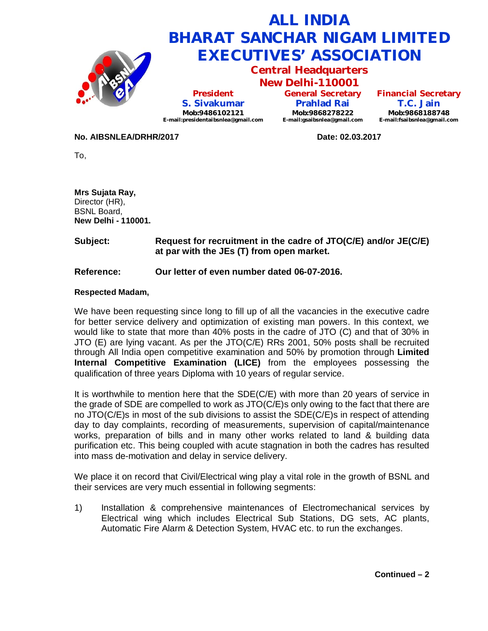

**No. AIBSNLEA/DRHR/2017 Date: 02.03.2017**

To,

**Mrs Sujata Ray,** Director (HR), BSNL Board, **New Delhi - 110001.**

**Subject: Request for recruitment in the cadre of JTO(C/E) and/or JE(C/E) at par with the JEs (T) from open market.** 

## **Reference: Our letter of even number dated 06-07-2016.**

## **Respected Madam,**

We have been requesting since long to fill up of all the vacancies in the executive cadre for better service delivery and optimization of existing man powers. In this context, we would like to state that more than 40% posts in the cadre of JTO (C) and that of 30% in JTO (E) are lying vacant. As per the JTO(C/E) RRs 2001, 50% posts shall be recruited through All India open competitive examination and 50% by promotion through **Limited Internal Competitive Examination (LICE)** from the employees possessing the qualification of three years Diploma with 10 years of regular service.

It is worthwhile to mention here that the SDE(C/E) with more than 20 years of service in the grade of SDE are compelled to work as JTO(C/E)s only owing to the fact that there are no JTO(C/E)s in most of the sub divisions to assist the SDE(C/E)s in respect of attending day to day complaints, recording of measurements, supervision of capital/maintenance works, preparation of bills and in many other works related to land & building data purification etc. This being coupled with acute stagnation in both the cadres has resulted into mass de-motivation and delay in service delivery.

We place it on record that Civil/Electrical wing play a vital role in the growth of BSNL and their services are very much essential in following segments:

1) Installation & comprehensive maintenances of Electromechanical services by Electrical wing which includes Electrical Sub Stations, DG sets, AC plants, Automatic Fire Alarm & Detection System, HVAC etc. to run the exchanges.